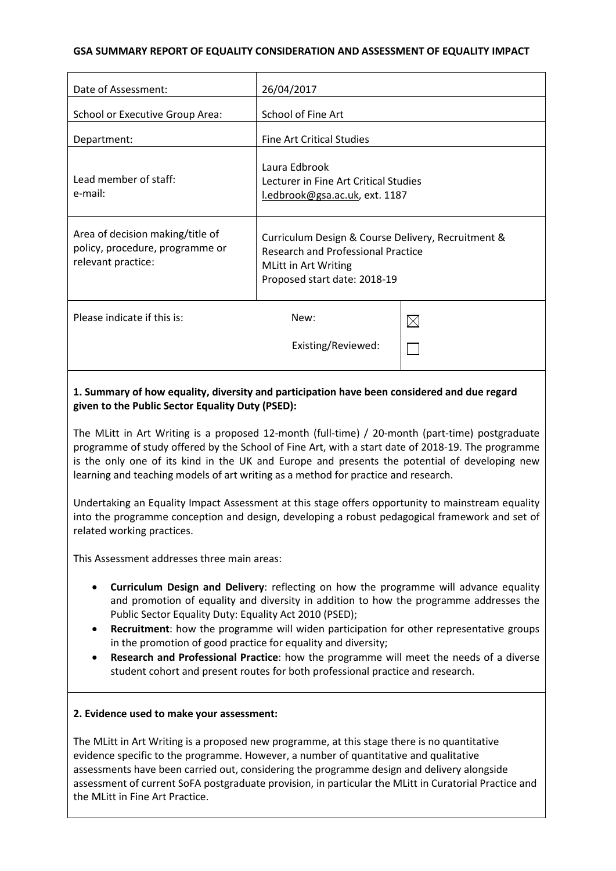#### **GSA SUMMARY REPORT OF EQUALITY CONSIDERATION AND ASSESSMENT OF EQUALITY IMPACT**

| Date of Assessment:                                                                       | 26/04/2017                                                                                                                                              |             |
|-------------------------------------------------------------------------------------------|---------------------------------------------------------------------------------------------------------------------------------------------------------|-------------|
| School or Executive Group Area:                                                           | School of Fine Art                                                                                                                                      |             |
| Department:                                                                               | <b>Fine Art Critical Studies</b>                                                                                                                        |             |
| Lead member of staff:<br>e-mail:                                                          | Laura Edbrook<br>Lecturer in Fine Art Critical Studies<br>l.edbrook@gsa.ac.uk, ext. 1187                                                                |             |
| Area of decision making/title of<br>policy, procedure, programme or<br>relevant practice: | Curriculum Design & Course Delivery, Recruitment &<br><b>Research and Professional Practice</b><br>MLitt in Art Writing<br>Proposed start date: 2018-19 |             |
| Please indicate if this is:                                                               | New:                                                                                                                                                    | $\boxtimes$ |
|                                                                                           | Existing/Reviewed:                                                                                                                                      |             |

#### **1. Summary of how equality, diversity and participation have been considered and due regard given to the Public Sector Equality Duty (PSED):**

The MLitt in Art Writing is a proposed 12-month (full-time) / 20-month (part-time) postgraduate programme of study offered by the School of Fine Art, with a start date of 2018-19. The programme is the only one of its kind in the UK and Europe and presents the potential of developing new learning and teaching models of art writing as a method for practice and research.

Undertaking an Equality Impact Assessment at this stage offers opportunity to mainstream equality into the programme conception and design, developing a robust pedagogical framework and set of related working practices.

This Assessment addresses three main areas:

- **Curriculum Design and Delivery**: reflecting on how the programme will advance equality and promotion of equality and diversity in addition to how the programme addresses the Public Sector Equality Duty: Equality Act 2010 (PSED);
- **Recruitment**: how the programme will widen participation for other representative groups in the promotion of good practice for equality and diversity;
- **Research and Professional Practice**: how the programme will meet the needs of a diverse student cohort and present routes for both professional practice and research.

#### **2. Evidence used to make your assessment:**

The MLitt in Art Writing is a proposed new programme, at this stage there is no quantitative evidence specific to the programme. However, a number of quantitative and qualitative assessments have been carried out, considering the programme design and delivery alongside assessment of current SoFA postgraduate provision, in particular the MLitt in Curatorial Practice and the MLitt in Fine Art Practice.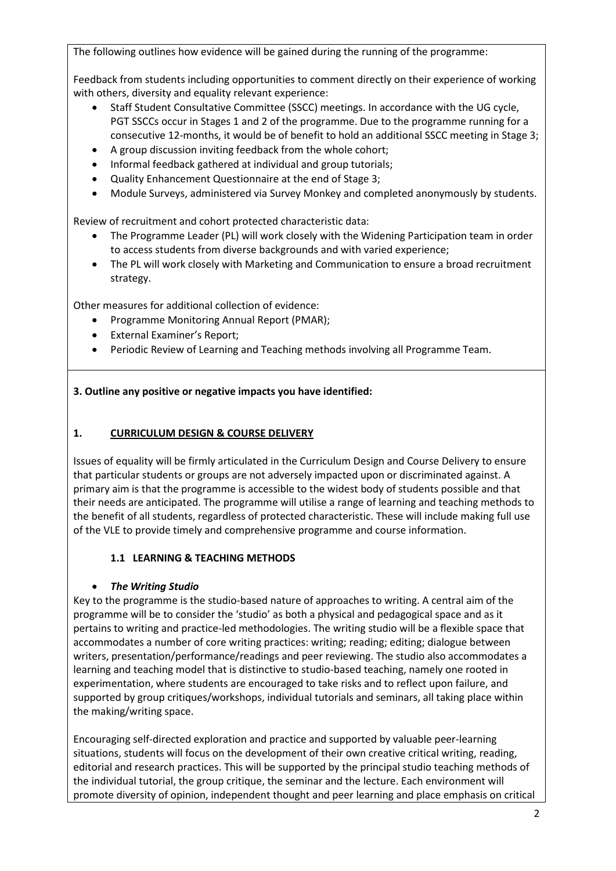The following outlines how evidence will be gained during the running of the programme:

Feedback from students including opportunities to comment directly on their experience of working with others, diversity and equality relevant experience:

- Staff Student Consultative Committee (SSCC) meetings. In accordance with the UG cycle, PGT SSCCs occur in Stages 1 and 2 of the programme. Due to the programme running for a consecutive 12-months, it would be of benefit to hold an additional SSCC meeting in Stage 3;
- A group discussion inviting feedback from the whole cohort;
- Informal feedback gathered at individual and group tutorials;
- Quality Enhancement Questionnaire at the end of Stage 3;
- Module Surveys, administered via Survey Monkey and completed anonymously by students.

Review of recruitment and cohort protected characteristic data:

- The Programme Leader (PL) will work closely with the Widening Participation team in order to access students from diverse backgrounds and with varied experience;
- The PL will work closely with Marketing and Communication to ensure a broad recruitment strategy.

Other measures for additional collection of evidence:

- Programme Monitoring Annual Report (PMAR);
- External Examiner's Report;
- Periodic Review of Learning and Teaching methods involving all Programme Team.

### **3. Outline any positive or negative impacts you have identified:**

#### **1. CURRICULUM DESIGN & COURSE DELIVERY**

Issues of equality will be firmly articulated in the Curriculum Design and Course Delivery to ensure that particular students or groups are not adversely impacted upon or discriminated against. A primary aim is that the programme is accessible to the widest body of students possible and that their needs are anticipated. The programme will utilise a range of learning and teaching methods to the benefit of all students, regardless of protected characteristic. These will include making full use of the VLE to provide timely and comprehensive programme and course information.

### **1.1 LEARNING & TEACHING METHODS**

### • *The Writing Studio*

Key to the programme is the studio-based nature of approaches to writing. A central aim of the programme will be to consider the 'studio' as both a physical and pedagogical space and as it pertains to writing and practice-led methodologies. The writing studio will be a flexible space that accommodates a number of core writing practices: writing; reading; editing; dialogue between writers, presentation/performance/readings and peer reviewing. The studio also accommodates a learning and teaching model that is distinctive to studio-based teaching, namely one rooted in experimentation, where students are encouraged to take risks and to reflect upon failure, and supported by group critiques/workshops, individual tutorials and seminars, all taking place within the making/writing space.

Encouraging self-directed exploration and practice and supported by valuable peer-learning situations, students will focus on the development of their own creative critical writing, reading, editorial and research practices. This will be supported by the principal studio teaching methods of the individual tutorial, the group critique, the seminar and the lecture. Each environment will promote diversity of opinion, independent thought and peer learning and place emphasis on critical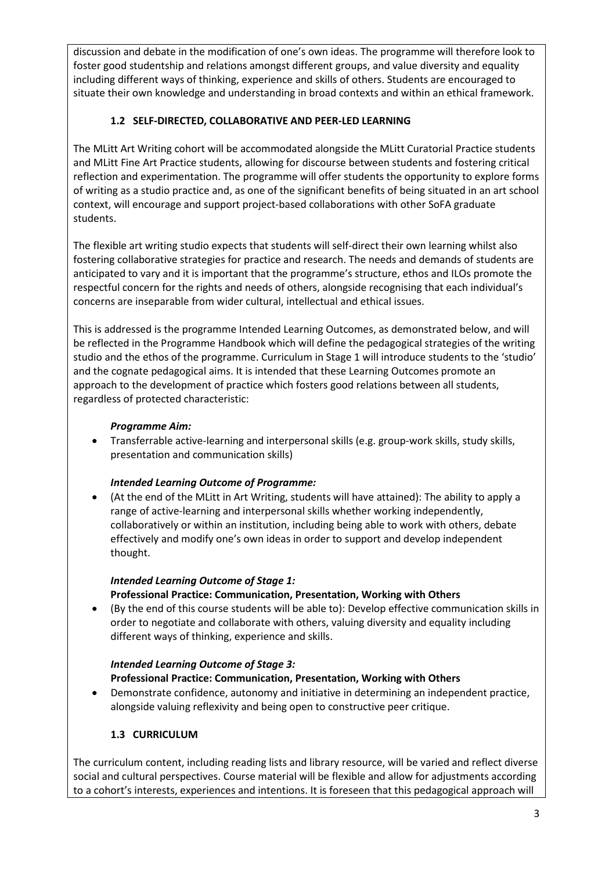discussion and debate in the modification of one's own ideas. The programme will therefore look to foster good studentship and relations amongst different groups, and value diversity and equality including different ways of thinking, experience and skills of others. Students are encouraged to situate their own knowledge and understanding in broad contexts and within an ethical framework.

## **1.2 SELF-DIRECTED, COLLABORATIVE AND PEER-LED LEARNING**

The MLitt Art Writing cohort will be accommodated alongside the MLitt Curatorial Practice students and MLitt Fine Art Practice students, allowing for discourse between students and fostering critical reflection and experimentation. The programme will offer students the opportunity to explore forms of writing as a studio practice and, as one of the significant benefits of being situated in an art school context, will encourage and support project-based collaborations with other SoFA graduate students.

The flexible art writing studio expects that students will self-direct their own learning whilst also fostering collaborative strategies for practice and research. The needs and demands of students are anticipated to vary and it is important that the programme's structure, ethos and ILOs promote the respectful concern for the rights and needs of others, alongside recognising that each individual's concerns are inseparable from wider cultural, intellectual and ethical issues.

This is addressed is the programme Intended Learning Outcomes, as demonstrated below, and will be reflected in the Programme Handbook which will define the pedagogical strategies of the writing studio and the ethos of the programme. Curriculum in Stage 1 will introduce students to the 'studio' and the cognate pedagogical aims. It is intended that these Learning Outcomes promote an approach to the development of practice which fosters good relations between all students, regardless of protected characteristic:

#### *Programme Aim:*

• Transferrable active-learning and interpersonal skills (e.g. group-work skills, study skills, presentation and communication skills)

### *Intended Learning Outcome of Programme:*

• (At the end of the MLitt in Art Writing, students will have attained): The ability to apply a range of active-learning and interpersonal skills whether working independently, collaboratively or within an institution, including being able to work with others, debate effectively and modify one's own ideas in order to support and develop independent thought.

# *Intended Learning Outcome of Stage 1:* **Professional Practice: Communication, Presentation, Working with Others**

• (By the end of this course students will be able to): Develop effective communication skills in order to negotiate and collaborate with others, valuing diversity and equality including different ways of thinking, experience and skills.

#### *Intended Learning Outcome of Stage 3:* **Professional Practice: Communication, Presentation, Working with Others**

• Demonstrate confidence, autonomy and initiative in determining an independent practice, alongside valuing reflexivity and being open to constructive peer critique.

### **1.3 CURRICULUM**

The curriculum content, including reading lists and library resource, will be varied and reflect diverse social and cultural perspectives. Course material will be flexible and allow for adjustments according to a cohort's interests, experiences and intentions. It is foreseen that this pedagogical approach will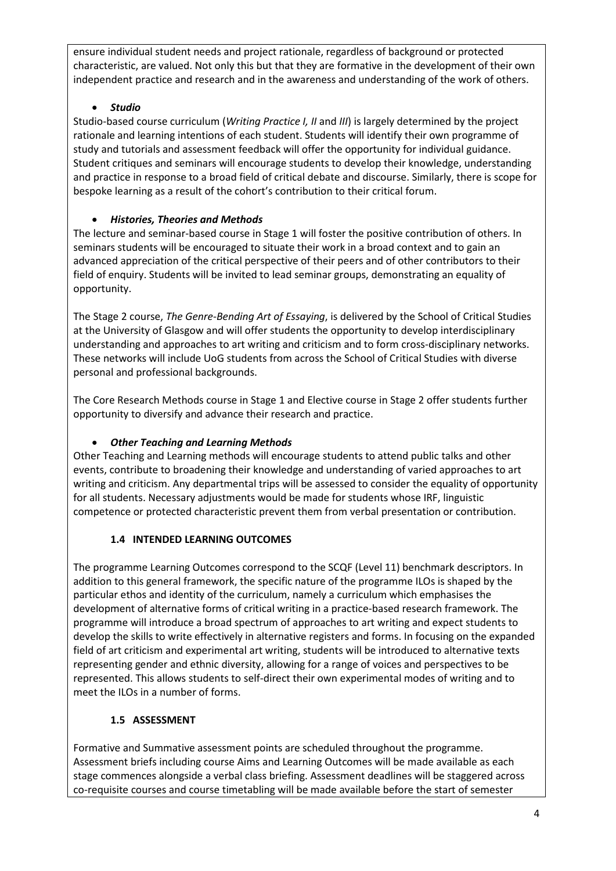ensure individual student needs and project rationale, regardless of background or protected characteristic, are valued. Not only this but that they are formative in the development of their own independent practice and research and in the awareness and understanding of the work of others.

# • *Studio*

Studio-based course curriculum (*Writing Practice I, II* and *III*) is largely determined by the project rationale and learning intentions of each student. Students will identify their own programme of study and tutorials and assessment feedback will offer the opportunity for individual guidance. Student critiques and seminars will encourage students to develop their knowledge, understanding and practice in response to a broad field of critical debate and discourse. Similarly, there is scope for bespoke learning as a result of the cohort's contribution to their critical forum.

# • *Histories, Theories and Methods*

The lecture and seminar-based course in Stage 1 will foster the positive contribution of others. In seminars students will be encouraged to situate their work in a broad context and to gain an advanced appreciation of the critical perspective of their peers and of other contributors to their field of enquiry. Students will be invited to lead seminar groups, demonstrating an equality of opportunity.

The Stage 2 course, *The Genre-Bending Art of Essaying*, is delivered by the School of Critical Studies at the University of Glasgow and will offer students the opportunity to develop interdisciplinary understanding and approaches to art writing and criticism and to form cross-disciplinary networks. These networks will include UoG students from across the School of Critical Studies with diverse personal and professional backgrounds.

The Core Research Methods course in Stage 1 and Elective course in Stage 2 offer students further opportunity to diversify and advance their research and practice.

# • *Other Teaching and Learning Methods*

Other Teaching and Learning methods will encourage students to attend public talks and other events, contribute to broadening their knowledge and understanding of varied approaches to art writing and criticism. Any departmental trips will be assessed to consider the equality of opportunity for all students. Necessary adjustments would be made for students whose IRF, linguistic competence or protected characteristic prevent them from verbal presentation or contribution.

# **1.4 INTENDED LEARNING OUTCOMES**

The programme Learning Outcomes correspond to the SCQF (Level 11) benchmark descriptors. In addition to this general framework, the specific nature of the programme ILOs is shaped by the particular ethos and identity of the curriculum, namely a curriculum which emphasises the development of alternative forms of critical writing in a practice-based research framework. The programme will introduce a broad spectrum of approaches to art writing and expect students to develop the skills to write effectively in alternative registers and forms. In focusing on the expanded field of art criticism and experimental art writing, students will be introduced to alternative texts representing gender and ethnic diversity, allowing for a range of voices and perspectives to be represented. This allows students to self-direct their own experimental modes of writing and to meet the ILOs in a number of forms.

# **1.5 ASSESSMENT**

Formative and Summative assessment points are scheduled throughout the programme. Assessment briefs including course Aims and Learning Outcomes will be made available as each stage commences alongside a verbal class briefing. Assessment deadlines will be staggered across co-requisite courses and course timetabling will be made available before the start of semester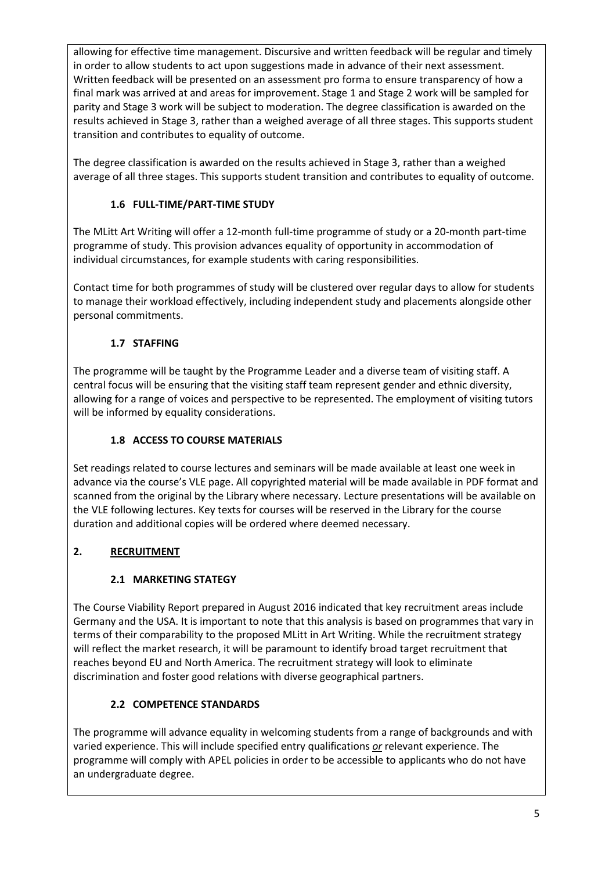allowing for effective time management. Discursive and written feedback will be regular and timely in order to allow students to act upon suggestions made in advance of their next assessment. Written feedback will be presented on an assessment pro forma to ensure transparency of how a final mark was arrived at and areas for improvement. Stage 1 and Stage 2 work will be sampled for parity and Stage 3 work will be subject to moderation. The degree classification is awarded on the results achieved in Stage 3, rather than a weighed average of all three stages. This supports student transition and contributes to equality of outcome.

The degree classification is awarded on the results achieved in Stage 3, rather than a weighed average of all three stages. This supports student transition and contributes to equality of outcome.

# **1.6 FULL-TIME/PART-TIME STUDY**

The MLitt Art Writing will offer a 12-month full-time programme of study or a 20-month part-time programme of study. This provision advances equality of opportunity in accommodation of individual circumstances, for example students with caring responsibilities.

Contact time for both programmes of study will be clustered over regular days to allow for students to manage their workload effectively, including independent study and placements alongside other personal commitments.

# **1.7 STAFFING**

The programme will be taught by the Programme Leader and a diverse team of visiting staff. A central focus will be ensuring that the visiting staff team represent gender and ethnic diversity, allowing for a range of voices and perspective to be represented. The employment of visiting tutors will be informed by equality considerations.

# **1.8 ACCESS TO COURSE MATERIALS**

Set readings related to course lectures and seminars will be made available at least one week in advance via the course's VLE page. All copyrighted material will be made available in PDF format and scanned from the original by the Library where necessary. Lecture presentations will be available on the VLE following lectures. Key texts for courses will be reserved in the Library for the course duration and additional copies will be ordered where deemed necessary.

# **2. RECRUITMENT**

# **2.1 MARKETING STATEGY**

The Course Viability Report prepared in August 2016 indicated that key recruitment areas include Germany and the USA. It is important to note that this analysis is based on programmes that vary in terms of their comparability to the proposed MLitt in Art Writing. While the recruitment strategy will reflect the market research, it will be paramount to identify broad target recruitment that reaches beyond EU and North America. The recruitment strategy will look to eliminate discrimination and foster good relations with diverse geographical partners.

# **2.2 COMPETENCE STANDARDS**

The programme will advance equality in welcoming students from a range of backgrounds and with varied experience. This will include specified entry qualifications *or* relevant experience. The programme will comply with APEL policies in order to be accessible to applicants who do not have an undergraduate degree.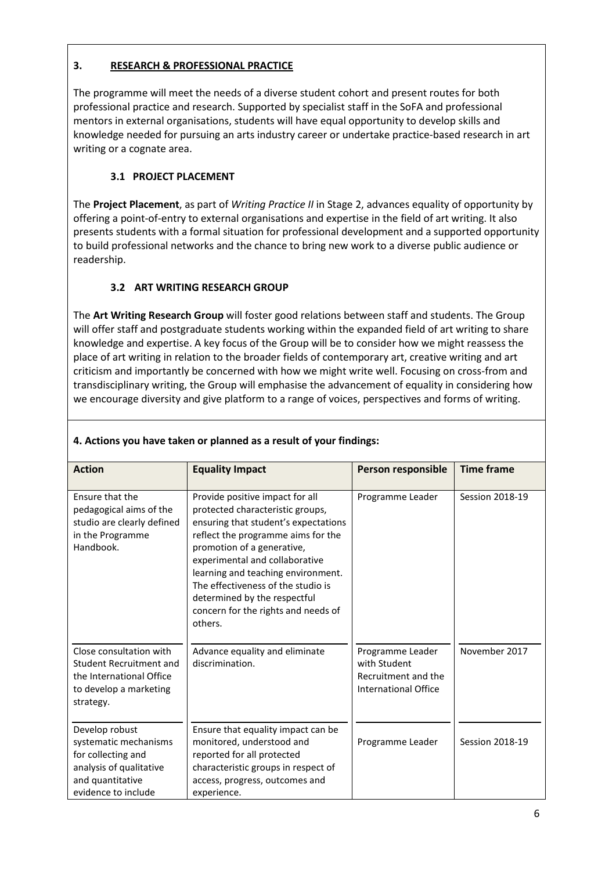### **3. RESEARCH & PROFESSIONAL PRACTICE**

The programme will meet the needs of a diverse student cohort and present routes for both professional practice and research. Supported by specialist staff in the SoFA and professional mentors in external organisations, students will have equal opportunity to develop skills and knowledge needed for pursuing an arts industry career or undertake practice-based research in art writing or a cognate area.

# **3.1 PROJECT PLACEMENT**

The **Project Placement**, as part of *Writing Practice II* in Stage 2, advances equality of opportunity by offering a point-of-entry to external organisations and expertise in the field of art writing. It also presents students with a formal situation for professional development and a supported opportunity to build professional networks and the chance to bring new work to a diverse public audience or readership.

# **3.2 ART WRITING RESEARCH GROUP**

The **Art Writing Research Group** will foster good relations between staff and students. The Group will offer staff and postgraduate students working within the expanded field of art writing to share knowledge and expertise. A key focus of the Group will be to consider how we might reassess the place of art writing in relation to the broader fields of contemporary art, creative writing and art criticism and importantly be concerned with how we might write well. Focusing on cross-from and transdisciplinary writing, the Group will emphasise the advancement of equality in considering how we encourage diversity and give platform to a range of voices, perspectives and forms of writing.

| <b>Action</b>                                                                                                                       | <b>Equality Impact</b>                                                                                                                                                                                                                                                                                                                                                          | Person responsible                                                              | <b>Time frame</b>      |  |
|-------------------------------------------------------------------------------------------------------------------------------------|---------------------------------------------------------------------------------------------------------------------------------------------------------------------------------------------------------------------------------------------------------------------------------------------------------------------------------------------------------------------------------|---------------------------------------------------------------------------------|------------------------|--|
| <b>Ensure that the</b><br>pedagogical aims of the<br>studio are clearly defined<br>in the Programme<br>Handbook.                    | Provide positive impact for all<br>protected characteristic groups.<br>ensuring that student's expectations<br>reflect the programme aims for the<br>promotion of a generative,<br>experimental and collaborative<br>learning and teaching environment.<br>The effectiveness of the studio is<br>determined by the respectful<br>concern for the rights and needs of<br>others. | Programme Leader                                                                | Session 2018-19        |  |
| Close consultation with<br>Student Recruitment and<br>the International Office<br>to develop a marketing<br>strategy.               | Advance equality and eliminate<br>discrimination.                                                                                                                                                                                                                                                                                                                               | Programme Leader<br>with Student<br>Recruitment and the<br>International Office | November 2017          |  |
| Develop robust<br>systematic mechanisms<br>for collecting and<br>analysis of qualitative<br>and quantitative<br>evidence to include | Ensure that equality impact can be<br>monitored, understood and<br>reported for all protected<br>characteristic groups in respect of<br>access, progress, outcomes and<br>experience.                                                                                                                                                                                           | Programme Leader                                                                | <b>Session 2018-19</b> |  |

## **4. Actions you have taken or planned as a result of your findings:**